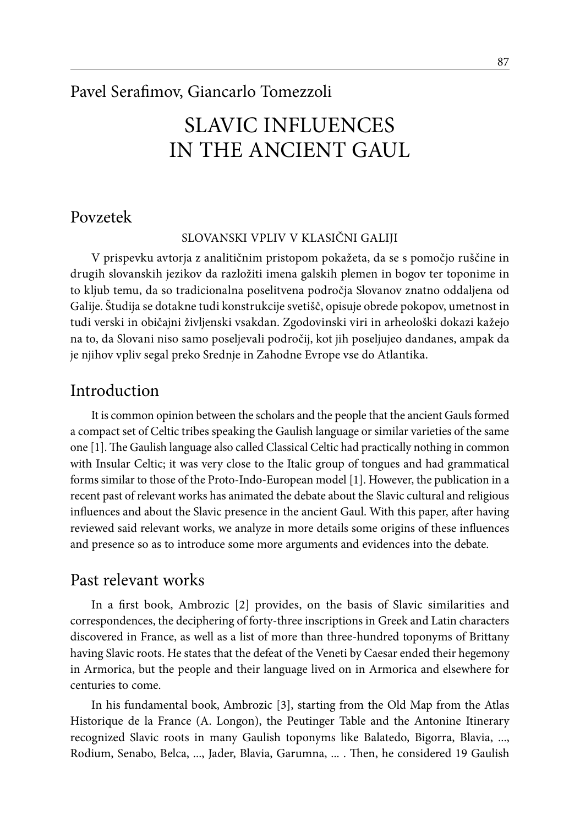#### Pavel Serafimov, Giancarlo Tomezzoli

# SLAVIC INFLUENCES IN THE ANCIENT GAUL

#### Povzetek

#### Slovanski vpliv v klasični Galiji

V prispevku avtorja z analitičnim pristopom pokažeta, da se s pomočjo ruščine in drugih slovanskih jezikov da razložiti imena galskih plemen in bogov ter toponime in to kljub temu, da so tradicionalna poselitvena področja Slovanov znatno oddaljena od Galije. Študija se dotakne tudi konstrukcije svetišč, opisuje obrede pokopov, umetnost in tudi verski in običajni življenski vsakdan. Zgodovinski viri in arheološki dokazi kažejo na to, da Slovani niso samo poseljevali področij, kot jih poseljujeo dandanes, ampak da je njihov vpliv segal preko Srednje in Zahodne Evrope vse do Atlantika.

#### Introduction

It is common opinion between the scholars and the people that the ancient Gauls formed a compact set of Celtic tribes speaking the Gaulish language or similar varieties of the same one [1]. The Gaulish language also called Classical Celtic had practically nothing in common with Insular Celtic; it was very close to the Italic group of tongues and had grammatical forms similar to those of the Proto-Indo-European model [1]. However, the publication in a recent past of relevant works has animated the debate about the Slavic cultural and religious influences and about the Slavic presence in the ancient Gaul. With this paper, after having reviewed said relevant works, we analyze in more details some origins of these influences and presence so as to introduce some more arguments and evidences into the debate.

#### Past relevant works

In a first book, Ambrozic [2] provides, on the basis of Slavic similarities and correspondences, the deciphering of forty-three inscriptions in Greek and Latin characters discovered in France, as well as a list of more than three-hundred toponyms of Brittany having Slavic roots. He states that the defeat of the Veneti by Caesar ended their hegemony in Armorica, but the people and their language lived on in Armorica and elsewhere for centuries to come.

In his fundamental book, Ambrozic [3], starting from the Old Map from the Atlas Historique de la France (A. Longon), the Peutinger Table and the Antonine Itinerary recognized Slavic roots in many Gaulish toponyms like Balatedo, Bigorra, Blavia, ..., Rodium, Senabo, Belca, ..., Jader, Blavia, Garumna, ... . Then, he considered 19 Gaulish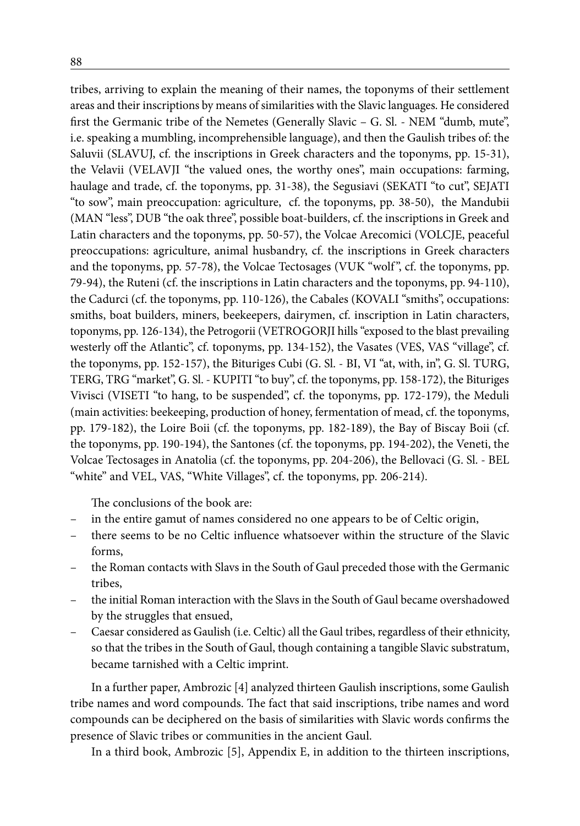tribes, arriving to explain the meaning of their names, the toponyms of their settlement areas and their inscriptions by means of similarities with the Slavic languages. He considered first the Germanic tribe of the Nemetes (Generally Slavic – G. Sl. - NEM "dumb, mute", i.e. speaking a mumbling, incomprehensible language), and then the Gaulish tribes of: the Saluvii (SLAVUJ, cf. the inscriptions in Greek characters and the toponyms, pp. 15-31), the Velavii (VELAVJI "the valued ones, the worthy ones", main occupations: farming, haulage and trade, cf. the toponyms, pp. 31-38), the Segusiavi (SEKATI "to cut", SEJATI "to sow", main preoccupation: agriculture, cf. the toponyms, pp. 38-50), the Mandubii (MAN "less", DUB "the oak three", possible boat-builders, cf. the inscriptions in Greek and Latin characters and the toponyms, pp. 50-57), the Volcae Arecomici (VOLCJE, peaceful preoccupations: agriculture, animal husbandry, cf. the inscriptions in Greek characters and the toponyms, pp. 57-78), the Volcae Tectosages (VUK "wolf ", cf. the toponyms, pp. 79-94), the Ruteni (cf. the inscriptions in Latin characters and the toponyms, pp. 94-110), the Cadurci (cf. the toponyms, pp. 110-126), the Cabales (KOVALI "smiths", occupations: smiths, boat builders, miners, beekeepers, dairymen, cf. inscription in Latin characters, toponyms, pp. 126-134), the Petrogorii (VETROGORJI hills "exposed to the blast prevailing westerly off the Atlantic", cf. toponyms, pp. 134-152), the Vasates (VES, VAS "village", cf. the toponyms, pp. 152-157), the Bituriges Cubi (G. Sl. - BI, VI "at, with, in", G. Sl. TURG, TERG, TRG "market", G. Sl. - KUPITI "to buy", cf. the toponyms, pp. 158-172), the Bituriges Vivisci (VISETI "to hang, to be suspended", cf. the toponyms, pp. 172-179), the Meduli (main activities: beekeeping, production of honey, fermentation of mead, cf. the toponyms, pp. 179-182), the Loire Boii (cf. the toponyms, pp. 182-189), the Bay of Biscay Boii (cf. the toponyms, pp. 190-194), the Santones (cf. the toponyms, pp. 194-202), the Veneti, the Volcae Tectosages in Anatolia (cf. the toponyms, pp. 204-206), the Bellovaci (G. Sl. - BEL "white" and VEL, VAS, "White Villages", cf. the toponyms, pp. 206-214).

The conclusions of the book are:

- in the entire gamut of names considered no one appears to be of Celtic origin,
- there seems to be no Celtic influence whatsoever within the structure of the Slavic forms,
- the Roman contacts with Slavs in the South of Gaul preceded those with the Germanic tribes,
- the initial Roman interaction with the Slavs in the South of Gaul became overshadowed by the struggles that ensued,
- Caesar considered as Gaulish (i.e. Celtic) all the Gaul tribes, regardless of their ethnicity, so that the tribes in the South of Gaul, though containing a tangible Slavic substratum, became tarnished with a Celtic imprint.

In a further paper, Ambrozic [4] analyzed thirteen Gaulish inscriptions, some Gaulish tribe names and word compounds. The fact that said inscriptions, tribe names and word compounds can be deciphered on the basis of similarities with Slavic words confirms the presence of Slavic tribes or communities in the ancient Gaul.

In a third book, Ambrozic [5], Appendix E, in addition to the thirteen inscriptions,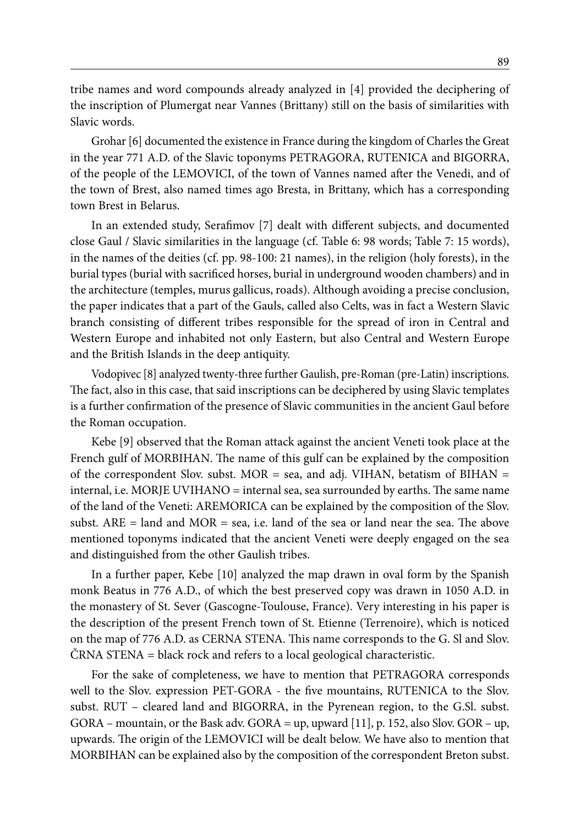tribe names and word compounds already analyzed in [4] provided the deciphering of the inscription of Plumergat near Vannes (Brittany) still on the basis of similarities with Slavic words.

Grohar [6] documented the existence in France during the kingdom of Charles the Great in the year 771 A.D. of the Slavic toponyms PETRAGORA, RUTENICA and BIGORRA, of the people of the LEMOVICI, of the town of Vannes named after the Venedi, and of the town of Brest, also named times ago Bresta, in Brittany, which has a corresponding town Brest in Belarus.

In an extended study, Serafimov [7] dealt with different subjects, and documented close Gaul / Slavic similarities in the language (cf. Table 6: 98 words; Table 7: 15 words), in the names of the deities (cf. pp. 98-100: 21 names), in the religion (holy forests), in the burial types (burial with sacrificed horses, burial in underground wooden chambers) and in the architecture (temples, murus gallicus, roads). Although avoiding a precise conclusion, the paper indicates that a part of the Gauls, called also Celts, was in fact a Western Slavic branch consisting of different tribes responsible for the spread of iron in Central and Western Europe and inhabited not only Eastern, but also Central and Western Europe and the British Islands in the deep antiquity.

Vodopivec [8] analyzed twenty-three further Gaulish, pre-Roman (pre-Latin) inscriptions. The fact, also in this case, that said inscriptions can be deciphered by using Slavic templates is a further confirmation of the presence of Slavic communities in the ancient Gaul before the Roman occupation.

Kebe [9] observed that the Roman attack against the ancient Veneti took place at the French gulf of MORBIHAN. The name of this gulf can be explained by the composition of the correspondent Slov. subst.  $MOR =$  sea, and adj. VIHAN, betatism of BIHAN = internal, i.e. MORJE UVIHANO = internal sea, sea surrounded by earths. The same name of the land of the Veneti: AREMORICA can be explained by the composition of the Slov. subst.  $ARE = land$  and  $MOR = sea$ , i.e. land of the sea or land near the sea. The above mentioned toponyms indicated that the ancient Veneti were deeply engaged on the sea and distinguished from the other Gaulish tribes.

In a further paper, Kebe [10] analyzed the map drawn in oval form by the Spanish monk Beatus in 776 A.D., of which the best preserved copy was drawn in 1050 A.D. in the monastery of St. Sever (Gascogne-Toulouse, France). Very interesting in his paper is the description of the present French town of St. Etienne (Terrenoire), which is noticed on the map of 776 A.D. as CERNA STENA. This name corresponds to the G. Sl and Slov. ČRNA STENA = black rock and refers to a local geological characteristic.

For the sake of completeness, we have to mention that PETRAGORA corresponds well to the Slov. expression PET-GORA - the five mountains, RUTENICA to the Slov. subst. RUT – cleared land and BIGORRA, in the Pyrenean region, to the G.Sl. subst. GORA – mountain, or the Bask adv. GORA = up, upward [11], p. 152, also Slov. GOR – up, upwards. The origin of the LEMOVICI will be dealt below. We have also to mention that MORBIHAN can be explained also by the composition of the correspondent Breton subst.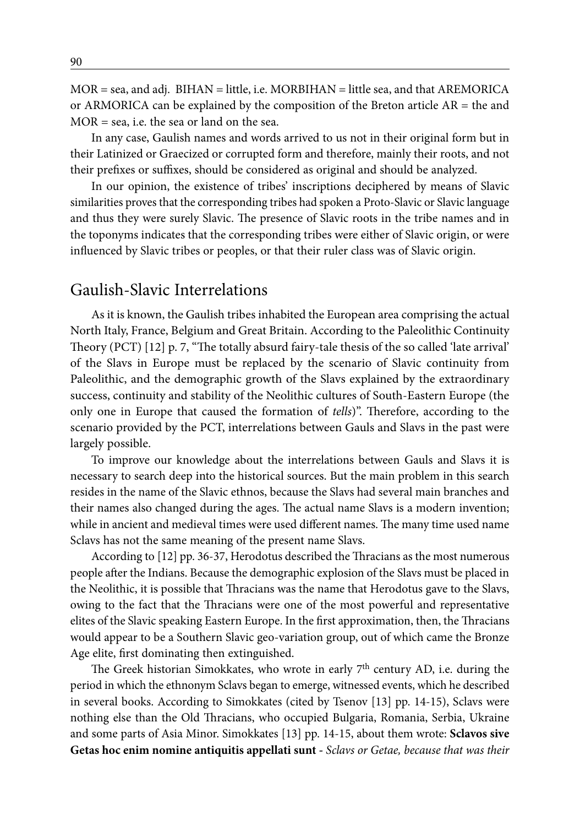$MOR = sea$ , and adj.  $BIHAN = little$ , i.e.  $MORBIHAN = little$  sea, and that  $AREMORICA$ or ARMORICA can be explained by the composition of the Breton article  $AR =$  the and MOR = sea, i.e. the sea or land on the sea.

In any case, Gaulish names and words arrived to us not in their original form but in their Latinized or Graecized or corrupted form and therefore, mainly their roots, and not their prefixes or suffixes, should be considered as original and should be analyzed.

In our opinion, the existence of tribes' inscriptions deciphered by means of Slavic similarities proves that the corresponding tribes had spoken a Proto-Slavic or Slavic language and thus they were surely Slavic. The presence of Slavic roots in the tribe names and in the toponyms indicates that the corresponding tribes were either of Slavic origin, or were influenced by Slavic tribes or peoples, or that their ruler class was of Slavic origin.

#### Gaulish-Slavic Interrelations

As it is known, the Gaulish tribes inhabited the European area comprising the actual North Italy, France, Belgium and Great Britain. According to the Paleolithic Continuity Theory (PCT) [12] p. 7, "The totally absurd fairy-tale thesis of the so called 'late arrival' of the Slavs in Europe must be replaced by the scenario of Slavic continuity from Paleolithic, and the demographic growth of the Slavs explained by the extraordinary success, continuity and stability of the Neolithic cultures of South-Eastern Europe (the only one in Europe that caused the formation of *tells*)". Therefore, according to the scenario provided by the PCT, interrelations between Gauls and Slavs in the past were largely possible.

To improve our knowledge about the interrelations between Gauls and Slavs it is necessary to search deep into the historical sources. But the main problem in this search resides in the name of the Slavic ethnos, because the Slavs had several main branches and their names also changed during the ages. The actual name Slavs is a modern invention; while in ancient and medieval times were used different names. The many time used name Sclavs has not the same meaning of the present name Slavs.

According to [12] pp. 36-37, Herodotus described the Thracians as the most numerous people after the Indians. Because the demographic explosion of the Slavs must be placed in the Neolithic, it is possible that Thracians was the name that Herodotus gave to the Slavs, owing to the fact that the Thracians were one of the most powerful and representative elites of the Slavic speaking Eastern Europe. In the first approximation, then, the Thracians would appear to be a Southern Slavic geo-variation group, out of which came the Bronze Age elite, first dominating then extinguished.

The Greek historian Simokkates, who wrote in early 7<sup>th</sup> century AD, i.e. during the period in which the ethnonym Sclavs began to emerge, witnessed events, which he described in several books. According to Simokkates (cited by Tsenov [13] pp. 14-15), Sclavs were nothing else than the Old Thracians, who occupied Bulgaria, Romania, Serbia, Ukraine and some parts of Asia Minor. Simokkates [13] pp. 14-15, about them wrote: **Sclavos sive Getas hoc enim nomine antiquitis appellati sunt -** *Sclavs or Getae, because that was their*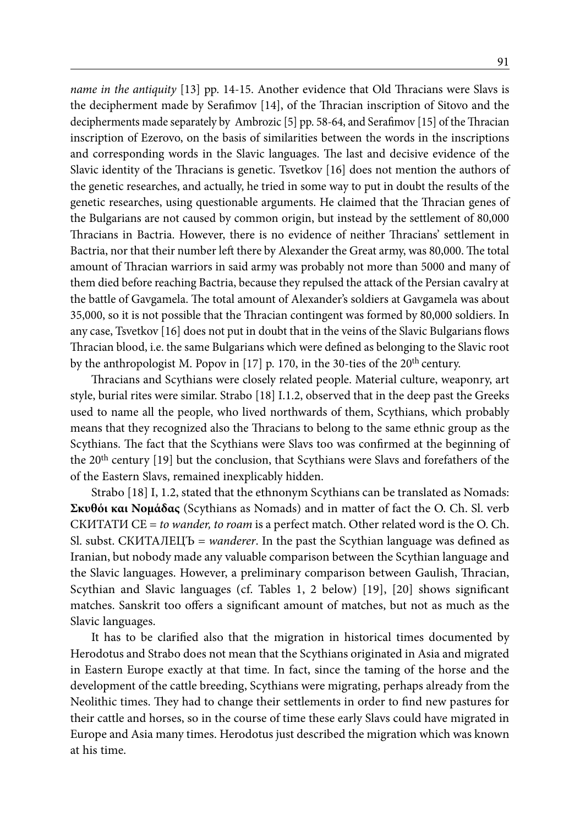*name in the antiquity* [13] pp. 14-15. Another evidence that Old Thracians were Slavs is the decipherment made by Serafimov [14], of the Thracian inscription of Sitovo and the decipherments made separately by Ambrozic [5] pp. 58-64, and Serafimov [15] of the Thracian inscription of Ezerovo, on the basis of similarities between the words in the inscriptions and corresponding words in the Slavic languages. The last and decisive evidence of the Slavic identity of the Thracians is genetic. Tsvetkov [16] does not mention the authors of the genetic researches, and actually, he tried in some way to put in doubt the results of the genetic researches, using questionable arguments. He claimed that the Thracian genes of the Bulgarians are not caused by common origin, but instead by the settlement of 80,000 Thracians in Bactria. However, there is no evidence of neither Thracians' settlement in Bactria, nor that their number left there by Alexander the Great army, was 80,000. The total amount of Thracian warriors in said army was probably not more than 5000 and many of them died before reaching Bactria, because they repulsed the attack of the Persian cavalry at the battle of Gavgamela. The total amount of Alexander's soldiers at Gavgamela was about 35,000, so it is not possible that the Thracian contingent was formed by 80,000 soldiers. In any case, Tsvetkov [16] does not put in doubt that in the veins of the Slavic Bulgarians flows Thracian blood, i.e. the same Bulgarians which were defined as belonging to the Slavic root by the anthropologist M. Popov in [17] p. 170, in the 30-ties of the 20<sup>th</sup> century.

Thracians and Scythians were closely related people. Material culture, weaponry, art style, burial rites were similar. Strabo [18] I.1.2, observed that in the deep past the Greeks used to name all the people, who lived northwards of them, Scythians, which probably means that they recognized also the Thracians to belong to the same ethnic group as the Scythians. The fact that the Scythians were Slavs too was confirmed at the beginning of the 20<sup>th</sup> century [19] but the conclusion, that Scythians were Slavs and forefathers of the of the Eastern Slavs, remained inexplicably hidden.

Strabo [18] I, 1.2, stated that the ethnonym Scythians can be translated as Nomads: **Σκυθόι και Νομάδας** (Scythians as Nomads) and in matter of fact the O. Ch. Sl. verb СКИТАТИ СЕ = *to wander, to roam* is a perfect match. Other related word is the O. Ch. Sl. subst. СКИТАЛЕЦЪ = *wanderer*. In the past the Scythian language was defined as Iranian, but nobody made any valuable comparison between the Scythian language and the Slavic languages. However, a preliminary comparison between Gaulish, Thracian, Scythian and Slavic languages (cf. Tables 1, 2 below) [19], [20] shows significant matches. Sanskrit too offers a significant amount of matches, but not as much as the Slavic languages.

It has to be clarified also that the migration in historical times documented by Herodotus and Strabo does not mean that the Scythians originated in Asia and migrated in Eastern Europe exactly at that time. In fact, since the taming of the horse and the development of the cattle breeding, Scythians were migrating, perhaps already from the Neolithic times. They had to change their settlements in order to find new pastures for their cattle and horses, so in the course of time these early Slavs could have migrated in Europe and Asia many times. Herodotus just described the migration which was known at his time.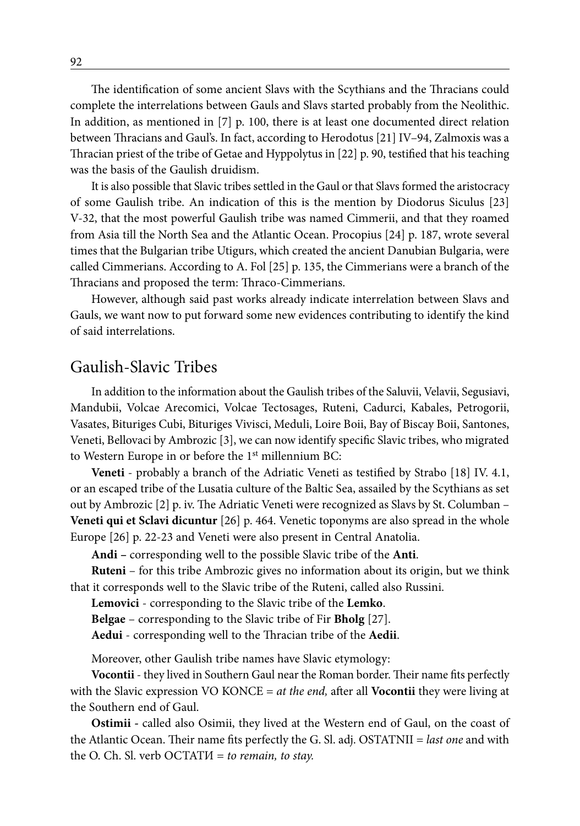The identification of some ancient Slavs with the Scythians and the Thracians could complete the interrelations between Gauls and Slavs started probably from the Neolithic. In addition, as mentioned in [7] p. 100, there is at least one documented direct relation between Thracians and Gaul's. In fact, according to Herodotus [21] IV–94, Zalmoxis was a Thracian priest of the tribe of Getae and Hyppolytus in [22] p. 90, testified that his teaching was the basis of the Gaulish druidism.

It is also possible that Slavic tribes settled in the Gaul or that Slavs formed the aristocracy of some Gaulish tribe. An indication of this is the mention by Diodorus Siculus [23] V-32, that the most powerful Gaulish tribe was named Cimmerii, and that they roamed from Asia till the North Sea and the Atlantic Ocean. Procopius [24] p. 187, wrote several times that the Bulgarian tribe Utigurs, which created the ancient Danubian Bulgaria, were called Cimmerians. According to A. Fol [25] p. 135, the Cimmerians were a branch of the Thracians and proposed the term: Thraco-Cimmerians.

However, although said past works already indicate interrelation between Slavs and Gauls, we want now to put forward some new evidences contributing to identify the kind of said interrelations.

#### Gaulish-Slavic Tribes

In addition to the information about the Gaulish tribes of the Saluvii, Velavii, Segusiavi, Mandubii, Volcae Arecomici, Volcae Tectosages, Ruteni, Cadurci, Kabales, Petrogorii, Vasates, Bituriges Cubi, Bituriges Vivisci, Meduli, Loire Boii, Bay of Biscay Boii, Santones, Veneti, Bellovaci by Ambrozic [3], we can now identify specific Slavic tribes, who migrated to Western Europe in or before the 1<sup>st</sup> millennium BC:

**Veneti** - probably a branch of the Adriatic Veneti as testified by Strabo [18] IV. 4.1, or an escaped tribe of the Lusatia culture of the Baltic Sea, assailed by the Scythians as set out by Ambrozic [2] p. iv. The Adriatic Veneti were recognized as Slavs by St. Columban – **Veneti qui et Sclavi dicuntur** [26] p. 464. Venetic toponyms are also spread in the whole Europe [26] p. 22-23 and Veneti were also present in Central Anatolia.

**Andi –** corresponding well to the possible Slavic tribe of the **Anti**.

**Ruteni** – for this tribe Ambrozic gives no information about its origin, but we think that it corresponds well to the Slavic tribe of the Ruteni, called also Russini.

**Lemovici** - corresponding to the Slavic tribe of the **Lemko**.

**Belgae** – corresponding to the Slavic tribe of Fir **Bholg** [27].

**Aedui** - corresponding well to the Thracian tribe of the **Aedii**.

Moreover, other Gaulish tribe names have Slavic etymology:

**Vocontii** - they lived in Southern Gaul near the Roman border. Their name fits perfectly with the Slavic expression VO KONCE = *at the end,* after all **Vocontii** they were living at the Southern end of Gaul.

**Ostimii -** called also Osimii, they lived at the Western end of Gaul, on the coast of the Atlantic Ocean. Their name fits perfectly the G. Sl. adj. OSTATNII = *last one* and with the O. Ch. Sl. verb ОСТАТИ = *to remain, to stay.*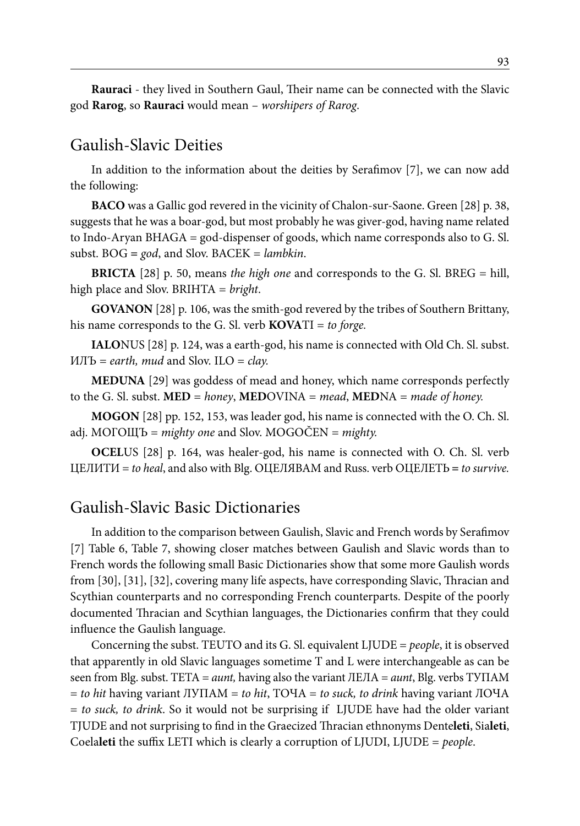**Rauraci** - they lived in Southern Gaul, Their name can be connected with the Slavic god **Rarog**, so **Rauraci** would mean – *worshipers of Rarog*.

#### Gaulish-Slavic Deities

In addition to the information about the deities by Serafimov [7], we can now add the following:

**BACO** was a Gallic god revered in the vicinity of Chalon-sur-Saone. Green [28] p. 38, suggests that he was a boar-god, but most probably he was giver-god, having name related to Indo-Aryan BHAGA = god-dispenser of goods, which name corresponds also to G. Sl. subst. BOG **=** *god*, and Slov. BACEK = *lambkin*.

**BRICTA** [28] p. 50, means *the high one* and corresponds to the G. Sl. BREG = hill, high place and Slov. BRIHTA = *bright*.

**GOVANON** [28] p. 106, was the smith-god revered by the tribes of Southern Brittany, his name corresponds to the G. Sl. verb **KOVA**TI = *to forge.*

**IALO**NUS [28] p. 124, was a earth-god, his name is connected with Old Ch. Sl. subst. ИЛЪ = *earth, mud* and Slov. ILO = *clay.*

**MEDUNA** [29] was goddess of mead and honey, which name corresponds perfectly to the G. Sl. subst. **MED** = *honey*, **MED**OVINA = *mead*, **MED**NA = *made of honey.*

**MOGON** [28] pp. 152, 153, was leader god, his name is connected with the O. Ch. Sl. adj. МОГOЩЪ = *mighty one* and Slov. MOGOČEN = *mighty.*

**OCEL**US [28] p. 164, was healer-god, his name is connected with O. Ch. Sl. verb ЦЕЛИТИ = *to heal*, and also with Blg. ОЦЕЛЯВАМ and Russ. verb ОЦЕЛЕТЬ **=** *to survive.*

#### Gaulish-Slavic Basic Dictionaries

In addition to the comparison between Gaulish, Slavic and French words by Serafimov [7] Table 6, Table 7, showing closer matches between Gaulish and Slavic words than to French words the following small Basic Dictionaries show that some more Gaulish words from [30], [31], [32], covering many life aspects, have corresponding Slavic, Thracian and Scythian counterparts and no corresponding French counterparts. Despite of the poorly documented Thracian and Scythian languages, the Dictionaries confirm that they could influence the Gaulish language.

Concerning the subst. TEUTO and its G. Sl. equivalent LJUDE = *people*, it is observed that apparently in old Slavic languages sometime T and L were interchangeable as can be seen from Blg. subst. TETA = *aunt,* having also the variant ЛЕЛА = *aunt*, Blg. verbs ТУПАМ = *to hit* having variant ЛУПАМ = *to hit*, ТОЧА = *to suck, to drink* having variant ЛОЧА = *to suck, to drink*. So it would not be surprising if LJUDE have had the older variant TJUDE and not surprising to find in the Graecized Thracian ethnonyms Dente**leti**, Sia**leti**, Coela**leti** the suffix LETI which is clearly a corruption of LJUDI, LJUDE = *people*.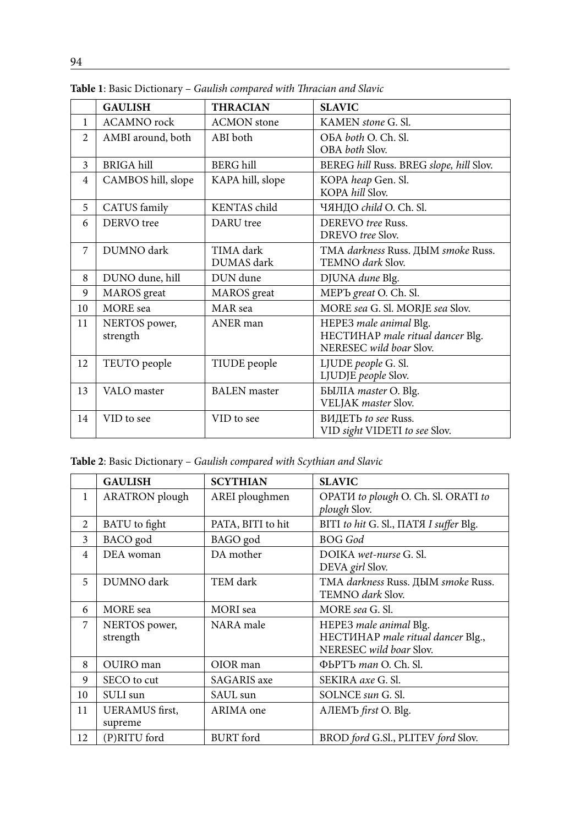|                | <b>GAULISH</b>            | <b>THRACIAN</b>         | <b>SLAVIC</b>                                                                         |
|----------------|---------------------------|-------------------------|---------------------------------------------------------------------------------------|
| 1              | <b>ACAMNO</b> rock        | <b>ACMON</b> stone      | KAMEN stone G. Sl.                                                                    |
| $\mathfrak{D}$ | AMBI around, both         | ABI both                | OBA both O. Ch. Sl.<br>OBA both Slov.                                                 |
| 3              | <b>BRIGA</b> hill         | BERG hill               | BEREG hill Russ. BREG slope, hill Slov.                                               |
| 4              | CAMBOS hill, slope        | KAPA hill, slope        | KOPA heap Gen. Sl.<br>KOPA hill Slov.                                                 |
| 5              | CATUS family              | KENTAS child            | ЧЯНДО <i>child</i> O. Ch. Sl.                                                         |
| 6              | DERVO tree                | DARU tree               | DEREVO tree Russ.<br>DREVO tree Slov.                                                 |
| 7              | DUMNO dark                | TIMA dark<br>DUMAS dark | TMA darkness Russ. ДЫМ smoke Russ.<br>TEMNO dark Slov.                                |
| 8              | DUNO dune, hill           | DUN dune                | DJUNA dune Blg.                                                                       |
| 9              | <b>MAROS</b> great        | <b>MAROS</b> great      | MEP <sub>b</sub> great O. Ch. Sl.                                                     |
| 10             | <b>MORE</b> sea           | MAR sea                 | MORE sea G. Sl. MORJE sea Slov.                                                       |
| 11             | NERTOS power,<br>strength | ANER man                | HEPE3 male animal Blg.<br>HECTIHAP male ritual dancer Blg.<br>NERESEC wild boar Slov. |
| 12             | TEUTO people              | TIUDE people            | LJUDE people G. Sl.<br>LJUDJE people Slov.                                            |
| 13             | VALO master               | <b>BALEN</b> master     | БЫЛІА master O. Blg.<br>VELJAK master Slov.                                           |
| 14             | VID to see                | VID to see              | ВИДЕТЬ to see Russ.<br>VID sight VIDETI to see Slov.                                  |

**Table 1**: Basic Dictionary – *Gaulish compared with Thracian and Slavic*

**Table 2**: Basic Dictionary – *Gaulish compared with Scythian and Slavic*

|                | <b>GAULISH</b>                   | <b>SCYTHIAN</b>    | <b>SLAVIC</b>                                                                          |
|----------------|----------------------------------|--------------------|----------------------------------------------------------------------------------------|
| 1              | <b>ARATRON</b> plough            | AREI ploughmen     | OPATI to plough O. Ch. Sl. ORATI to<br>plough Slov.                                    |
| 2              | BATU to fight                    | PATA, BITI to hit  | BITI to hit G. Sl., HATA I suffer Blg.                                                 |
| 3              | BACO god                         | BAGO god           | <b>BOG</b> God                                                                         |
| $\overline{4}$ | DEA woman                        | DA mother          | DOIKA wet-nurse G. Sl.<br>DEVA girl Slov.                                              |
| 5              | DUMNO dark                       | TEM dark           | TMA darkness Russ. ДЫМ smoke Russ.<br>TEMNO dark Slov.                                 |
| 6              | <b>MORE</b> sea                  | <b>MORI</b> sea    | MORE sea G. Sl.                                                                        |
| 7              | NERTOS power,<br>strength        | NARA male          | HEPE3 male animal Blg.<br>HECTMHAP male ritual dancer Blg.,<br>NERESEC wild boar Slov. |
| 8              | OUIRO man                        | OIOR man           | ФЬРТЪ <i>тап</i> О. Ch. Sl.                                                            |
| 9              | SECO to cut                      | <b>SAGARIS</b> axe | SEKIRA axe G. Sl.                                                                      |
| 10             | SULI sun                         | SAUL sun           | SOLNCE sun G. Sl.                                                                      |
| 11             | <b>UERAMUS</b> first.<br>supreme | ARIMA one          | AЛEMЪ <i>first</i> O. Blg.                                                             |
| 12             | (P)RITU ford                     | <b>BURT</b> ford   | BROD ford G.Sl., PLITEV ford Slov.                                                     |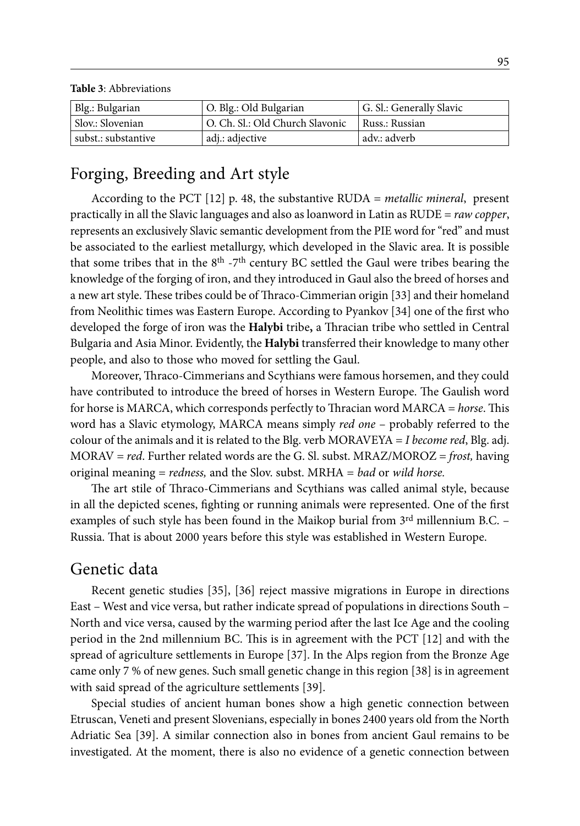Blg.: Bulgarian | O. Blg.: Old Bulgarian | G. Sl.: Generally Slavic Slov.: Slovenian  $\vert$  O. Ch. Sl.: Old Church Slavonic  $\vert$  Russ.: Russian subst.: substantive adj.: adjective adv.: adverb

## Forging, Breeding and Art style

**Table 3**: Abbreviations

According to the PCT [12] p. 48, the substantive RUDA = *metallic mineral*, present practically in all the Slavic languages and also as loanword in Latin as RUDE = *raw copper*, represents an exclusively Slavic semantic development from the PIE word for "red" and must be associated to the earliest metallurgy, which developed in the Slavic area. It is possible that some tribes that in the  $8<sup>th</sup> - 7<sup>th</sup>$  century BC settled the Gaul were tribes bearing the knowledge of the forging of iron, and they introduced in Gaul also the breed of horses and a new art style. These tribes could be of Thraco-Cimmerian origin [33] and their homeland from Neolithic times was Eastern Europe. According to Pyankov [34] one of the first who developed the forge of iron was the **Halybi** tribe**,** a Thracian tribe who settled in Central Bulgaria and Asia Minor. Evidently, the **Halybi** transferred their knowledge to many other people, and also to those who moved for settling the Gaul.

Moreover, Thraco-Cimmerians and Scythians were famous horsemen, and they could have contributed to introduce the breed of horses in Western Europe. The Gaulish word for horse is MARCA, which corresponds perfectly to Thracian word MARCA = *horse*. This word has a Slavic etymology, MARCA means simply *red one* – probably referred to the colour of the animals and it is related to the Blg. verb MORAVEYA = *I become red*, Blg. adj. MORAV = *red*. Further related words are the G. Sl. subst. MRAZ/MOROZ = *frost,* having original meaning = *redness,* and the Slov. subst. MRHA = *bad* or *wild horse.*

The art stile of Thraco-Cimmerians and Scythians was called animal style, because in all the depicted scenes, fighting or running animals were represented. One of the first examples of such style has been found in the Maikop burial from  $3<sup>rd</sup>$  millennium B.C. – Russia. That is about 2000 years before this style was established in Western Europe.

#### Genetic data

Recent genetic studies [35], [36] reject massive migrations in Europe in directions East – West and vice versa, but rather indicate spread of populations in directions South – North and vice versa, caused by the warming period after the last Ice Age and the cooling period in the 2nd millennium BC. This is in agreement with the PCT [12] and with the spread of agriculture settlements in Europe [37]. In the Alps region from the Bronze Age came only 7 % of new genes. Such small genetic change in this region [38] is in agreement with said spread of the agriculture settlements [39].

Special studies of ancient human bones show a high genetic connection between Etruscan, Veneti and present Slovenians, especially in bones 2400 years old from the North Adriatic Sea [39]. A similar connection also in bones from ancient Gaul remains to be investigated. At the moment, there is also no evidence of a genetic connection between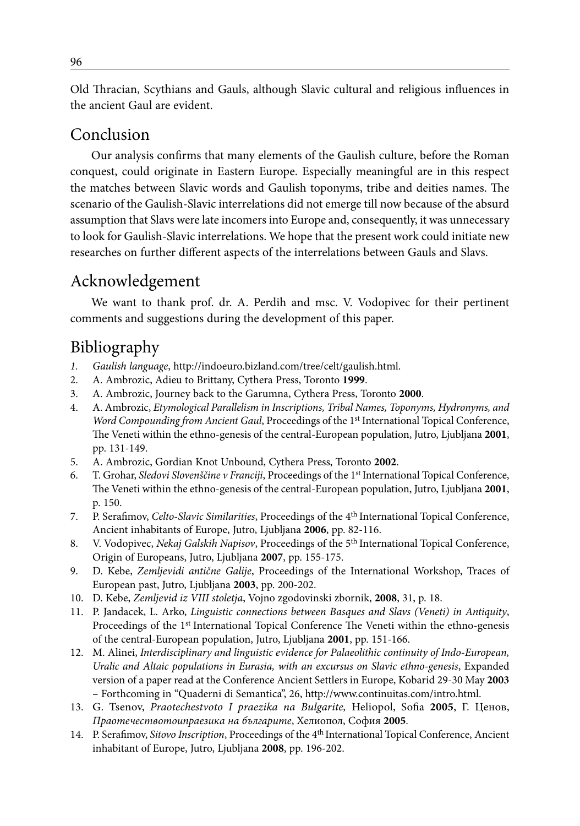Old Thracian, Scythians and Gauls, although Slavic cultural and religious influences in the ancient Gaul are evident.

#### Conclusion

Our analysis confirms that many elements of the Gaulish culture, before the Roman conquest, could originate in Eastern Europe. Especially meaningful are in this respect the matches between Slavic words and Gaulish toponyms, tribe and deities names. The scenario of the Gaulish-Slavic interrelations did not emerge till now because of the absurd assumption that Slavs were late incomers into Europe and, consequently, it was unnecessary to look for Gaulish-Slavic interrelations. We hope that the present work could initiate new researches on further different aspects of the interrelations between Gauls and Slavs.

### Acknowledgement

We want to thank prof. dr. A. Perdih and msc. V. Vodopivec for their pertinent comments and suggestions during the development of this paper.

### Bibliography

- *1. Gaulish language*, http://indoeuro.bizland.com/tree/celt/gaulish.html.
- 2. A. Ambrozic, Adieu to Brittany, Cythera Press, Toronto **1999**.
- 3. A. Ambrozic, Journey back to the Garumna, Cythera Press, Toronto **2000**.
- 4. A. Ambrozic, *Etymological Parallelism in Inscriptions, Tribal Names, Toponyms, Hydronyms, and Word Compounding from Ancient Gaul*, Proceedings of the 1st International Topical Conference, The Veneti within the ethno-genesis of the central-European population, Jutro, Ljubljana **2001**, pp. 131-149.
- 5. A. Ambrozic, Gordian Knot Unbound, Cythera Press, Toronto **2002**.
- 6. T. Grohar, *Sledovi Slovenščine v Franciji*, Proceedings of the 1st International Topical Conference, The Veneti within the ethno-genesis of the central-European population, Jutro, Ljubljana **2001**, p. 150.
- 7. P. Serafimov, *Celto-Slavic Similarities*, Proceedings of the 4th International Topical Conference, Ancient inhabitants of Europe, Jutro, Ljubljana **2006**, pp. 82-116.
- 8. V. Vodopivec, *Nekaj Galskih Napisov*, Proceedings of the 5th International Topical Conference, Origin of Europeans, Jutro, Ljubljana **2007**, pp. 155-175.
- 9. D. Kebe, *Zemljevidi antične Galije*, Proceedings of the International Workshop, Traces of European past, Jutro, Ljubljana **2003**, pp. 200-202.
- 10. D. Kebe, *Zemljevid iz VIII stoletja*, Vojno zgodovinski zbornik, **2008**, 31, p. 18.
- 11. P. Jandacek, L. Arko, *Linguistic connections between Basques and Slavs (Veneti) in Antiquity*, Proceedings of the 1<sup>st</sup> International Topical Conference The Veneti within the ethno-genesis of the central-European population, Jutro, Ljubljana **2001**, pp. 151-166.
- 12. M. Alinei, *Interdisciplinary and linguistic evidence for Palaeolithic continuity of Indo-European, Uralic and Altaic populations in Eurasia, with an excursus on Slavic ethno-genesis*, Expanded version of a paper read at the Conference Ancient Settlers in Europe, Kobarid 29-30 May **2003** – Forthcoming in "Quaderni di Semantica", 26, http://www.continuitas.com/intro.html.
- 13. G. Tsenov, *Praotechestvoto I praezika na Bulgarite,* Heliopol, Sofia **2005**, Г. Ценов, *Праотечествотоипраезика на българите*, Хелиопол, София **2005**.
- 14. P. Serafimov, *Sitovo Inscription*, Proceedings of the 4th International Topical Conference, Ancient inhabitant of Europe, Jutro, Ljubljana **2008**, pp. 196-202.